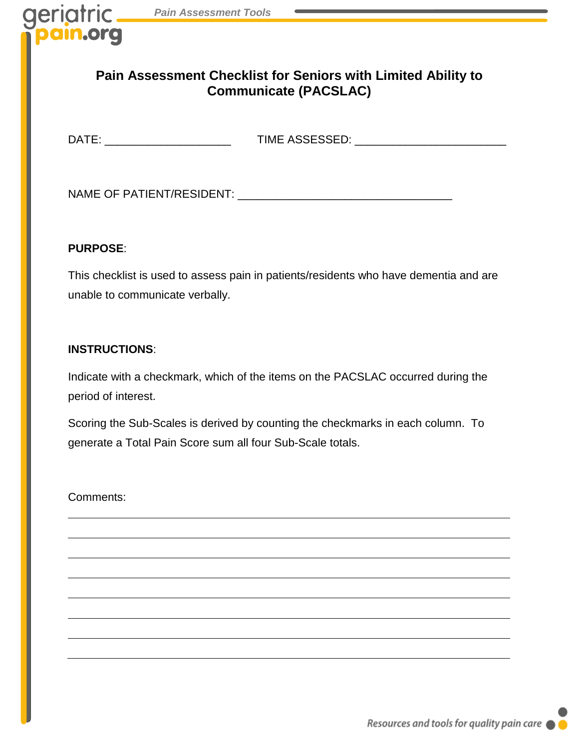## **Pain Assessment Checklist for Seniors with Limited Ability to Communicate (PACSLAC)**

DATE: \_\_\_\_\_\_\_\_\_\_\_\_\_\_\_\_\_\_\_\_ TIME ASSESSED: \_\_\_\_\_\_\_\_\_\_\_\_\_\_\_\_\_\_\_\_\_\_\_\_

NAME OF PATIENT/RESIDENT: \_\_\_\_\_\_\_\_\_\_\_\_\_\_\_\_\_\_\_\_\_\_\_\_\_\_\_\_\_\_\_\_\_\_

## **PURPOSE**:

geriatric

This checklist is used to assess pain in patients/residents who have dementia and are unable to communicate verbally.

## **INSTRUCTIONS**:

Indicate with a checkmark, which of the items on the PACSLAC occurred during the period of interest.

Scoring the Sub-Scales is derived by counting the checkmarks in each column. To generate a Total Pain Score sum all four Sub-Scale totals.

Comments: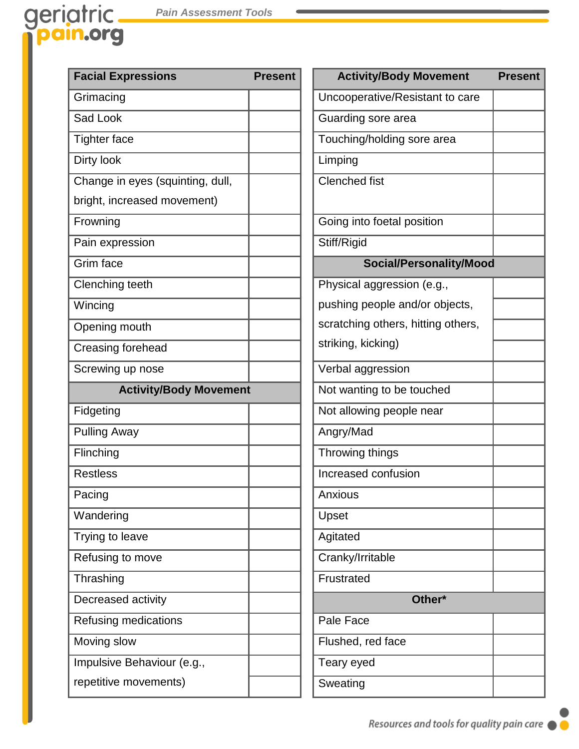## geriatric pain.org

| <b>Facial Expressions</b>        | <b>Present</b> | <b>Activity/Body Movement</b>      | <b>Present</b> |
|----------------------------------|----------------|------------------------------------|----------------|
| Grimacing                        |                | Uncooperative/Resistant to care    |                |
| Sad Look                         |                | Guarding sore area                 |                |
| <b>Tighter face</b>              |                | Touching/holding sore area         |                |
| Dirty look                       |                | Limping                            |                |
| Change in eyes (squinting, dull, |                | <b>Clenched fist</b>               |                |
| bright, increased movement)      |                |                                    |                |
| Frowning                         |                | Going into foetal position         |                |
| Pain expression                  |                | Stiff/Rigid                        |                |
| Grim face                        |                | Social/Personality/Mood            |                |
| Clenching teeth                  |                | Physical aggression (e.g.,         |                |
| Wincing                          |                | pushing people and/or objects,     |                |
| Opening mouth                    |                | scratching others, hitting others, |                |
| Creasing forehead                |                | striking, kicking)                 |                |
| Screwing up nose                 |                | Verbal aggression                  |                |
| <b>Activity/Body Movement</b>    |                | Not wanting to be touched          |                |
| Fidgeting                        |                | Not allowing people near           |                |
| <b>Pulling Away</b>              |                | Angry/Mad                          |                |
| Flinching                        |                | Throwing things                    |                |
| <b>Restless</b>                  |                | Increased confusion                |                |
| Pacing                           |                | Anxious                            |                |
| Wandering                        |                | Upset                              |                |
| Trying to leave                  |                | Agitated                           |                |
| Refusing to move                 |                | Cranky/Irritable                   |                |
| Thrashing                        |                | Frustrated                         |                |
| Decreased activity               |                | Other*                             |                |
| Refusing medications             |                | Pale Face                          |                |
| Moving slow                      |                | Flushed, red face                  |                |
| Impulsive Behaviour (e.g.,       |                | Teary eyed                         |                |
| repetitive movements)            |                | Sweating                           |                |
|                                  |                |                                    |                |